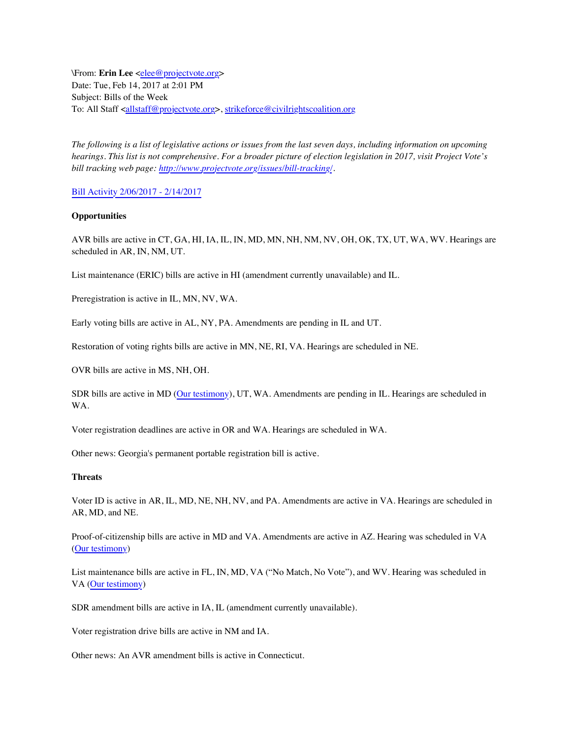\From: **Erin Lee** <[elee@projectvote.org>](mailto:elee@projectvote.org) Date: Tue, Feb 14, 2017 at 2:01 PM Subject: Bills of the Week To: All Staff <[allstaff@projectvote.org>](mailto:allstaff@projectvote.org), [strikeforce@civilrightscoalition.org](mailto:strikeforce@civilrightscoalition.org)

*The following is a list of legislative actions or issues from the last seven days, including information on upcoming hearings. This list is not comprehensive. For a broader picture of election legislation in 2017, visit Project Vote's bill tracking web page: [http://www.projectvote.org/issues/bill-tracking/.](http://www.projectvote.org/issues/bill-tracking/)*

[Bill Activity 2/06/2017 - 2/14/2017](http://cqstatetrack.com/texis/statetrack/insession/viewrpt?report=58a352acf6&sid=&Report.workflow=)

## **Opportunities**

AVR bills are active in CT, GA, HI, IA, IL, IN, MD, MN, NH, NM, NV, OH, OK, TX, UT, WA, WV. Hearings are scheduled in AR, IN, NM, UT.

List maintenance (ERIC) bills are active in HI (amendment currently unavailable) and IL.

Preregistration is active in IL, MN, NV, WA.

Early voting bills are active in AL, NY, PA. Amendments are pending in IL and UT.

Restoration of voting rights bills are active in MN, NE, RI, VA. Hearings are scheduled in NE.

OVR bills are active in MS, NH, OH.

SDR bills are active in MD [\(Our testimony\)](http://www.projectvote.org/wp-content/uploads/project_vote_testimony_md_sb_423_020917.docx.pdf), UT, WA. Amendments are pending in IL. Hearings are scheduled in WA.

Voter registration deadlines are active in OR and WA. Hearings are scheduled in WA.

Other news: Georgia's permanent portable registration bill is active.

## **Threats**

Voter ID is active in AR, IL, MD, NE, NH, NV, and PA. Amendments are active in VA. Hearings are scheduled in AR, MD, and NE.

Proof-of-citizenship bills are active in MD and VA. Amendments are active in AZ. Hearing was scheduled in VA [\(Our testimony](http://www.projectvote.org/wp-content/uploads/project_vote_testimony_va_hb1598_021417.pdf))

List maintenance bills are active in FL, IN, MD, VA ("No Match, No Vote"), and WV. Hearing was scheduled in VA ([Our testimony](http://www.projectvote.org/wp-content/uploads/project_vote_testimony_va_sb1581_021417.pdf))

SDR amendment bills are active in IA, IL (amendment currently unavailable).

Voter registration drive bills are active in NM and IA.

Other news: An AVR amendment bills is active in Connecticut.